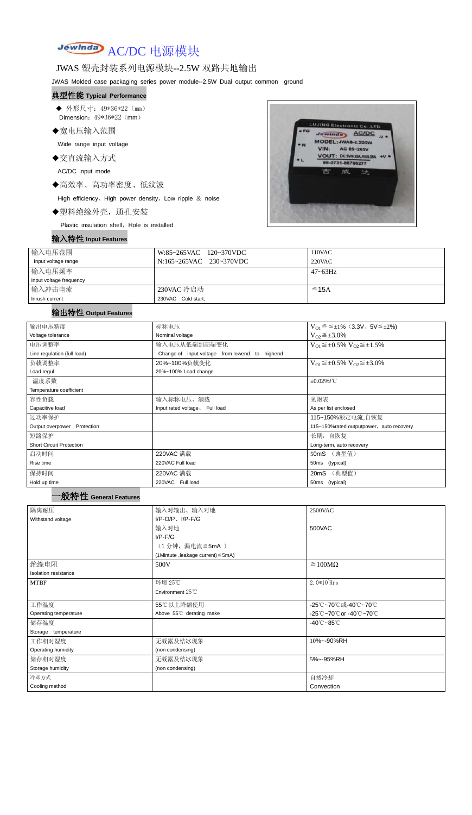# Jewinda AC/DC 电源模块

### JWAS 塑壳封装系列电源模块--2.5W 双路共地输出

JWAS Molded case packaging series power module--2.5W Dual output common ground

- ◆ 外形尺寸: 49\*36\*22 (mm) Dimension:  $49*36*22$  (mm)
- ◆宽电压输入范围

#### 典型性能 **Typical Performance**

Wide range input voltage

◆交直流输入方式

AC/DC input mode

◆高效率、高功率密度、低纹波

High efficiency、High power density、Low ripple & noise

◆塑料绝缘外壳,通孔安装

Plastic insulation shell, Hole is installed

#### 输入特性 **Input Features**



| 输入电压范围                  | W:85~265VAC 120~370VDC  | 110VAC          |
|-------------------------|-------------------------|-----------------|
| Input voltage range     | N:165~265VAC 230~370VDC | 220VAC          |
| 输入电压频率                  |                         | $47 \sim 63$ Hz |
| Input voltage frequency |                         |                 |
| 输入冲击电流                  | 230VAC 冷启动              | $\leq$ 15A      |
| Inrush current          | 230VAC Cold start,      |                 |

#### 输出特性 **Output Features**

### 一般特性 **General Features**

| 输出电压精度                          | 标称电压                                                                  | $V_{01} \le \le \pm 1\%$ (3.3V, $5V \le \pm 2\%$ )    |  |  |
|---------------------------------|-----------------------------------------------------------------------|-------------------------------------------------------|--|--|
| Voltage tolerance               | Nominal voltage                                                       | $V_{O2} \leq \pm 3.0\%$                               |  |  |
| 电压调整率                           | 输入电压从低端到高端变化                                                          | $V_{O1} \leq \pm 0.5\% \text{ V}_{O2} \leq \pm 1.5\%$ |  |  |
| Line regulation (full load)     | Change of input voltage from lowend to highend                        |                                                       |  |  |
| 负载调整率                           | 20%~100%负载变化<br>$V_{O1} \leq \pm 0.5\% \text{ V}_{O2} \leq \pm 3.0\%$ |                                                       |  |  |
| Load regul                      | 20%~100% Load change                                                  |                                                       |  |  |
| 温度系数                            |                                                                       | $\pm 0.02\%$ /°C                                      |  |  |
| Temperature coefficient         |                                                                       |                                                       |  |  |
| 容性负载                            | 输入标称电压、满载                                                             | 见附表                                                   |  |  |
| Capacitive load                 | Input rated voltage, Full load                                        | As per list enclosed                                  |  |  |
| 过功率保护                           |                                                                       | 115~150%额定电流,自恢复                                      |  |  |
| Output overpower<br>Protection  |                                                                       | 115~150%rated outputpower, auto recovery              |  |  |
| 短路保护                            |                                                                       | 长期, 自恢复                                               |  |  |
| <b>Short Circuit Protection</b> | Long-term, auto recovery                                              |                                                       |  |  |
| 启动时间                            | 220VAC 满载                                                             | 50mS (典型值)                                            |  |  |
| Rise time                       | 220VAC Full load<br>50ms (typical)                                    |                                                       |  |  |
| 保持时间                            | 220VAC 满载<br>(典型值)<br>20mS                                            |                                                       |  |  |
| Hold up time                    | 220VAC Full load<br>50ms (typical)                                    |                                                       |  |  |

| 隔离耐压                        | 输入对输出、输入对地                              | <b>2500VAC</b>                  |  |
|-----------------------------|-----------------------------------------|---------------------------------|--|
| Withstand voltage           | $I/P-O/P$ , $I/P-F/G$                   |                                 |  |
|                             | 输入对地                                    | 500VAC                          |  |
|                             | $I/P-F/G$                               |                                 |  |
|                             | (1分钟,漏电流≦5mA)                           |                                 |  |
|                             | (1Mintute, leakage current) $\leq$ 5mA) |                                 |  |
| 绝缘电阻                        | 500V                                    | $\geq 100M\Omega$               |  |
| <b>Isolation resistance</b> |                                         |                                 |  |
| <b>MTBF</b>                 | 环境 25℃                                  | 2.0 $*10^5$ Hrs                 |  |
|                             | Environment $25^{\circ}$ C              |                                 |  |
| 工作温度                        | 55℃以上降额使用                               | -25℃~70℃或-40℃~70℃               |  |
| Operating temperature       | Above 55°C derating make                | -25℃~70℃or -40℃~70℃             |  |
| 储存温度                        |                                         | $-40^{\circ}$ C $-85^{\circ}$ C |  |
| Storage temperature         |                                         |                                 |  |
| 工作相对湿度                      | 无凝露及结冰现象                                | 10%~-90%RH                      |  |
| Operating humidity          | (non condensing)                        |                                 |  |
| 储存相对湿度                      | 无凝露及结冰现象                                | 5%~-95%RH                       |  |
| Storage humidity            | (non condensing)                        |                                 |  |
| 冷却方式                        |                                         | 自然冷却                            |  |
| Cooling method              |                                         | Convection                      |  |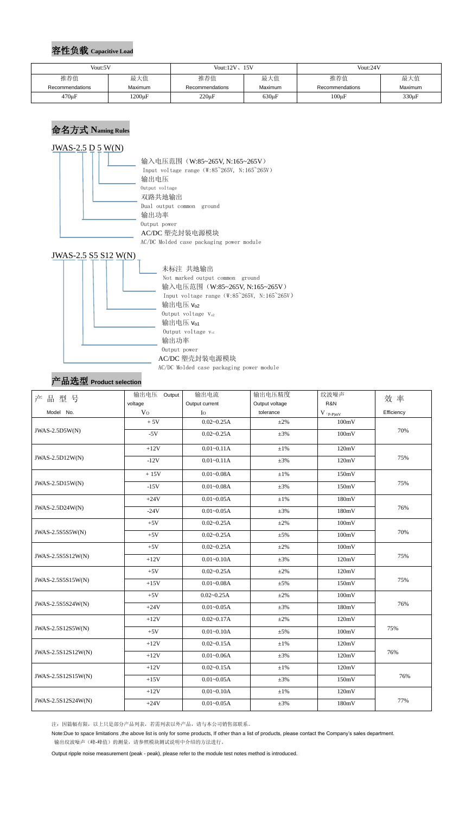### 容性负载 **Capacitive Load**

### 命名方式 **Naming Rules**



#### JWAS-2.5 S5 S12 W(N)



AC/DC Molded case packaging power module

#### 产品选型 **Product selection**

| 产品型号               | 输出电压 Output    | 输出电流           | 输出电压精度         | 纹波噪声                    | 效 率        |
|--------------------|----------------|----------------|----------------|-------------------------|------------|
|                    | voltage        | Output current | Output voltage | R&N                     |            |
| Model No.          | V <sub>O</sub> | $I_{\rm O}$    | tolerance      | $V$ $_{(P\text{-}P)mV}$ | Efficiency |
|                    | $+5V$          | $0.02 - 0.25A$ | $\pm 2\%$      | 100mV                   |            |
| $JWAS-2.5D5W(N)$   | $-5V$          | $0.02 - 0.25A$ | $\pm 3\%$      | 100mV                   | 70%        |
|                    | $+12V$         | $0.01 - 0.11A$ | $\pm 1\%$      | 120mV                   |            |
| JWAS-2.5D12W(N)    | $-12V$         | $0.01 - 0.11A$ | $\pm 3\%$      | 120mV                   | 75%        |
|                    | $+15V$         | $0.01 - 0.08A$ | $\pm 1\%$      | 150mV                   |            |
| JWAS-2.5D15W(N)    | $-15V$         | $0.01 - 0.08A$ | $\pm 3\%$      | 150mV                   | 75%        |
|                    | $+24V$         | $0.01 - 0.05A$ | $\pm 1\%$      | 180mV                   |            |
| JWAS-2.5D24W(N)    | $-24V$         | $0.01 - 0.05A$ | $\pm 3\%$      | 180mV                   | 76%        |
| JWAS-2.5S5S5W(N)   | $+5V$          | $0.02 - 0.25A$ | $\pm 2\%$      | 100mV                   | 70%        |
|                    | $+5V$          | $0.02 - 0.25A$ | $\pm 5\%$      | 100mV                   |            |
|                    | $+5V$          | $0.02 - 0.25A$ | $\pm 2\%$      | 100mV                   |            |
| JWAS-2.5S5S12W(N)  | $+12V$         | $0.01 - 0.10A$ | $\pm 3\%$      | 120mV                   | 75%        |
|                    | $+5V$          | $0.02 - 0.25A$ | $\pm 2\%$      | 120mV                   | 75%        |
| JWAS-2.5S5S15W(N)  | $+15V$         | $0.01 - 0.08A$ | $\pm$ 5%       | 150mV                   |            |
|                    | $+5V$          | $0.02 - 0.25A$ | $\pm 2\%$      | 100mV                   |            |
| JWAS-2.5S5S24W(N)  | $+24V$         | $0.01 - 0.05A$ | $\pm 3\%$      | 180mV                   | 76%        |
| JWAS-2.5S12S5W(N)  | $+12V$         | $0.02 - 0.17A$ | $\pm 2\%$      | 120mV                   |            |
|                    | $+5V$          | $0.01 - 0.10A$ | $\pm$ 5%       | 100mV                   | 75%        |
| JWAS-2.5S12S12W(N) | $+12V$         | $0.02 - 0.15A$ | $\pm 1\%$      | 120mV                   |            |
|                    | $+12V$         | $0.01 - 0.06A$ | $\pm 3\%$      | 120mV                   | 76%        |
| JWAS-2.5S12S15W(N) | $+12V$         | $0.02 - 0.15A$ | $\pm 1\%$      | 120mV                   |            |
|                    | $+15V$         | $0.01 - 0.05A$ | $\pm 3\%$      | 150mV                   | 76%        |
|                    | $+12V$         | $0.01 - 0.10A$ | $\pm 1\%$      | 120mV                   |            |
| JWAS-2.5S12S24W(N) | $+24V$         | $0.01 - 0.05A$ | $\pm 3\%$      | 180mV                   | 77%        |

注:因篇幅有限,以上只是部分产品列表,若需列表以外产品,请与本公司销售部联系。

Note:Due to space limitations ,the above list is only for some products, If other than a list of products, please contact the Company's sales department.

输出纹波噪声(峰-峰值)的测量,请参照模块测试说明中介绍的方法进行。

Output ripple noise measurement (peak - peak), please refer to the module test notes method is introduced.

| Vout:5V         |             | Vout: $12V$ , $15V$ |            | Vout:24V        |            |
|-----------------|-------------|---------------------|------------|-----------------|------------|
| 推荐值             | 最大值         | 推荐值                 | 最大值        | 推荐值             | 最大值        |
| Recommendations | Maximum     | Recommendations     | Maximum    | Recommendations | Maximum    |
| $470 \mu F$     | $1200\mu F$ | $220 \mu F$         | $630\mu F$ | $100\mu F$      | $330\mu F$ |